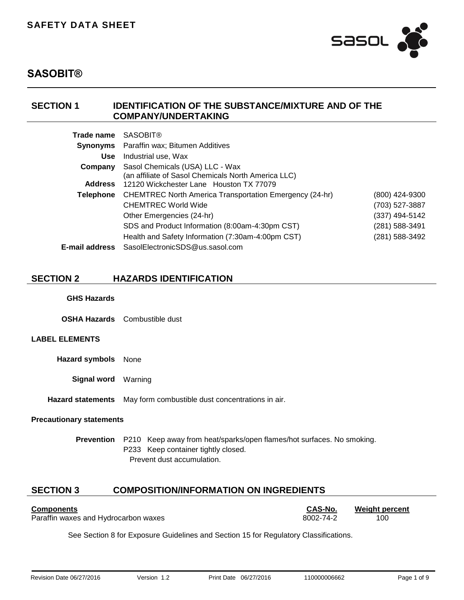

## **SECTION 1 IDENTIFICATION OF THE SUBSTANCE/MIXTURE AND OF THE COMPANY/UNDERTAKING**

| Trade name            | <b>SASOBIT®</b>                                                |                |
|-----------------------|----------------------------------------------------------------|----------------|
| <b>Synonyms</b>       | Paraffin wax; Bitumen Additives                                |                |
| <b>Use</b>            | Industrial use, Wax                                            |                |
| Company               | Sasol Chemicals (USA) LLC - Wax                                |                |
|                       | (an affiliate of Sasol Chemicals North America LLC)            |                |
| <b>Address</b>        | 12120 Wickchester Lane Houston TX 77079                        |                |
| Telephone             | <b>CHEMTREC North America Transportation Emergency (24-hr)</b> | (800) 424-9300 |
|                       | <b>CHEMTREC World Wide</b>                                     | (703) 527-3887 |
|                       | Other Emergencies (24-hr)                                      | (337) 494-5142 |
|                       | SDS and Product Information (8:00am-4:30pm CST)                | (281) 588-3491 |
|                       | Health and Safety Information (7:30am-4:00pm CST)              | (281) 588-3492 |
| <b>E-mail address</b> | SasolElectronicSDS@us.sasol.com                                |                |

## **SECTION 2 HAZARDS IDENTIFICATION**

#### **GHS Hazards**

**OSHA Hazards** Combustible dust

## **LABEL ELEMENTS**

**Hazard symbols** None

**Signal word** Warning

**Hazard statements** May form combustible dust concentrations in air.

#### **Precautionary statements**

**Prevention** P210 Keep away from heat/sparks/open flames/hot surfaces. No smoking. P233 Keep container tightly closed. Prevent dust accumulation.

## **SECTION 3 COMPOSITION/INFORMATION ON INGREDIENTS**

| <b>Components</b>                    | <b>CAS-No.</b> | <b>Weight percent</b> |
|--------------------------------------|----------------|-----------------------|
| Paraffin waxes and Hydrocarbon waxes | 8002-74-2      | 100                   |

See Section 8 for Exposure Guidelines and Section 15 for Regulatory Classifications.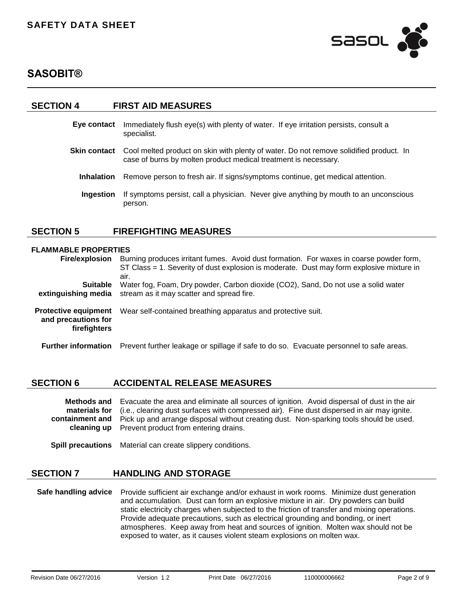

#### **SECTION 4 FIRST AID MEASURES**

- **Eye contact** Immediately flush eye(s) with plenty of water. If eye irritation persists, consult a specialist.
- **Skin contact** Cool melted product on skin with plenty of water. Do not remove solidified product. In case of burns by molten product medical treatment is necessary.
	- **Inhalation** Remove person to fresh air. If signs/symptoms continue, get medical attention.
	- **Ingestion** If symptoms persist, call a physician. Never give anything by mouth to an unconscious person.

## **SECTION 5 FIREFIGHTING MEASURES**

#### **FLAMMABLE PROPERTIES**

| <b>Fire/explosion</b>                                              | Burning produces irritant fumes. Avoid dust formation. For waxes in coarse powder form,<br>ST Class = 1. Severity of dust explosion is moderate. Dust may form explosive mixture in<br>air. |
|--------------------------------------------------------------------|---------------------------------------------------------------------------------------------------------------------------------------------------------------------------------------------|
| <b>Suitable</b><br>extinguishing media                             | Water fog, Foam, Dry powder, Carbon dioxide (CO2), Sand, Do not use a solid water<br>stream as it may scatter and spread fire.                                                              |
| <b>Protective equipment</b><br>and precautions for<br>firefighters | Wear self-contained breathing apparatus and protective suit.                                                                                                                                |
| <b>Further information</b>                                         | Prevent further leakage or spillage if safe to do so. Evacuate personnel to safe areas.                                                                                                     |

## **SECTION 6 ACCIDENTAL RELEASE MEASURES**

**Methods and materials for containment and cleaning up** Evacuate the area and eliminate all sources of ignition. Avoid dispersal of dust in the air (i.e., clearing dust surfaces with compressed air). Fine dust dispersed in air may ignite. Pick up and arrange disposal without creating dust. Non-sparking tools should be used. Prevent product from entering drains.

**Spill precautions** Material can create slippery conditions.

#### **SECTION 7 HANDLING AND STORAGE**

**Safe handling advice** Provide sufficient air exchange and/or exhaust in work rooms.Minimize dust generation and accumulation.Dust can form an explosive mixture in air.Dry powders can build static electricity charges when subjected to the friction of transfer and mixing operations. Provide adequate precautions, such as electrical grounding and bonding, or inert atmospheres.Keep away from heat and sources of ignition.Molten wax should not be exposed to water, as it causes violent steam explosions on molten wax.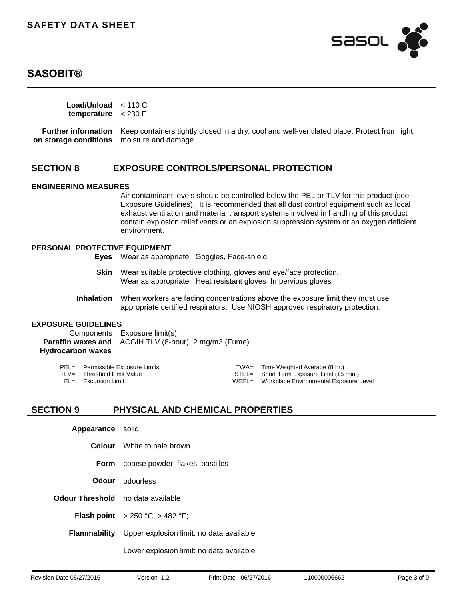

**Load/Unload**  < 110 C **temperature** < 230 F

**Further information** Keep containers tightly closed in a dry, cool and well-ventilated place. Protect from light, **on storage conditions** moisture and damage.

## **SECTION 8 EXPOSURE CONTROLS/PERSONAL PROTECTION**

#### **ENGINEERING MEASURES**

Air contaminant levels should be controlled below the PEL or TLV for this product (see Exposure Guidelines). It is recommended that all dust control equipment such as local exhaust ventilation and material transport systems involved in handling of this product contain explosion relief vents or an explosion suppression system or an oxygen deficient environment.

#### **PERSONAL PROTECTIVE EQUIPMENT**

**Eyes** Wear as appropriate:Goggles, Face-shield

- **Skin** Wear suitable protective clothing, gloves and eye/face protection. Wear as appropriate:Heat resistant glovesImpervious gloves
- **Inhalation** When workers are facing concentrations above the exposure limit they must use appropriate certified respirators.Use NIOSH approved respiratory protection.

#### **EXPOSURE GUIDELINES**

Components Exposure limit(s) **Paraffin waxes and Hydrocarbon waxes** ACGIH TLV (8-hour) 2 mg/m3 (Fume)

| PEL= Permissible Exposure Limits | TWA= Time Weighted Average (8 hr.)           |
|----------------------------------|----------------------------------------------|
| TLV= Threshold Limit Value       | STEL= Short Term Exposure Limit (15 min.)    |
| $EL =$ Excursion Limit           | WEEL= Workplace Environmental Exposure Level |

## **SECTION 9 PHYSICAL AND CHEMICAL PROPERTIES**

| Appearance solid;                        |                                                              |
|------------------------------------------|--------------------------------------------------------------|
|                                          | <b>Colour</b> White to pale brown                            |
|                                          | Form coarse powder, flakes, pastilles                        |
|                                          | <b>Odour</b> odourless                                       |
| <b>Odour Threshold</b> no data available |                                                              |
|                                          | <b>Flash point</b> $> 250 °C$ , $> 482 °F$ ;                 |
|                                          | <b>Flammability</b> Upper explosion limit: no data available |
|                                          |                                                              |

Lower explosion limit: no data available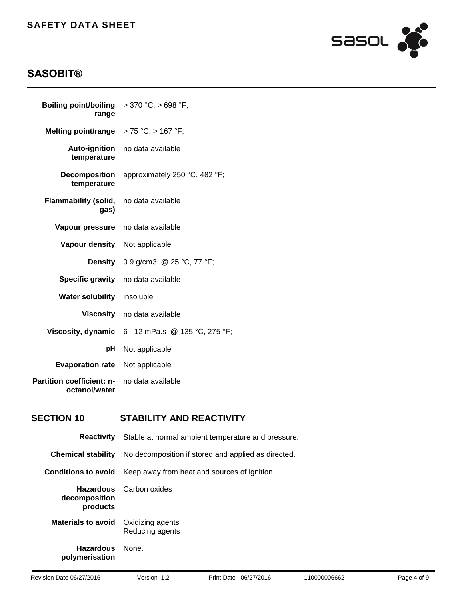

# **SASOBIT®**

| <b>Boiling point/boiling</b> $> 370 °C$ , $> 698 °F$ ;<br>range |                                                     |
|-----------------------------------------------------------------|-----------------------------------------------------|
| Melting point/range $> 75 °C$ , $> 167 °F$ ;                    |                                                     |
| <b>Auto-ignition</b><br>temperature                             | no data available                                   |
| <b>Decomposition</b><br>temperature                             | approximately 250 °C, 482 °F;                       |
| <b>Flammability (solid,</b><br>gas)                             | no data available                                   |
| <b>Vapour pressure</b> no data available                        |                                                     |
| Vapour density Not applicable                                   |                                                     |
|                                                                 | <b>Density</b> 0.9 g/cm3 @ 25 °C, 77 °F;            |
|                                                                 | Specific gravity no data available                  |
| Water solubility insoluble                                      |                                                     |
| Viscosity                                                       | no data available                                   |
|                                                                 | Viscosity, dynamic $6 - 12$ mPa.s @ 135 °C, 275 °F; |
| рH                                                              | Not applicable                                      |
| <b>Evaporation rate</b>                                         | Not applicable                                      |
| <b>Partition coefficient: n-</b><br>octanol/water               | no data available                                   |

# **SECTION 10 STABILITY AND REACTIVITY**

|                             | <b>Reactivity</b> Stable at normal ambient temperature and pressure. |  |  |
|-----------------------------|----------------------------------------------------------------------|--|--|
| <b>Chemical stability</b>   | No decomposition if stored and applied as directed.                  |  |  |
| Conditions to avoid         | Keep away from heat and sources of ignition.                         |  |  |
| decomposition<br>products   | <b>Hazardous</b> Carbon oxides                                       |  |  |
| <b>Materials to avoid</b>   | Oxidizing agents<br>Reducing agents                                  |  |  |
| Hazardous<br>polymerisation | None.                                                                |  |  |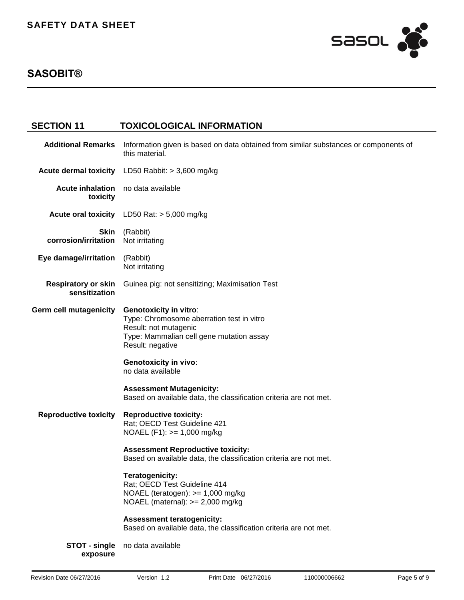

| <b>SECTION 11</b>                           | <b>TOXICOLOGICAL INFORMATION</b>                                                                                                                                                                                                                                                                                                                  |
|---------------------------------------------|---------------------------------------------------------------------------------------------------------------------------------------------------------------------------------------------------------------------------------------------------------------------------------------------------------------------------------------------------|
| <b>Additional Remarks</b>                   | Information given is based on data obtained from similar substances or components of<br>this material.                                                                                                                                                                                                                                            |
| <b>Acute dermal toxicity</b>                | LD50 Rabbit: $> 3,600$ mg/kg                                                                                                                                                                                                                                                                                                                      |
| <b>Acute inhalation</b><br>toxicity         | no data available                                                                                                                                                                                                                                                                                                                                 |
|                                             | Acute oral toxicity LD50 Rat: > 5,000 mg/kg                                                                                                                                                                                                                                                                                                       |
| <b>Skin</b><br>corrosion/irritation         | (Rabbit)<br>Not irritating                                                                                                                                                                                                                                                                                                                        |
| Eye damage/irritation                       | (Rabbit)<br>Not irritating                                                                                                                                                                                                                                                                                                                        |
| <b>Respiratory or skin</b><br>sensitization | Guinea pig: not sensitizing; Maximisation Test                                                                                                                                                                                                                                                                                                    |
| <b>Germ cell mutagenicity</b>               | <b>Genotoxicity in vitro:</b><br>Type: Chromosome aberration test in vitro<br>Result: not mutagenic<br>Type: Mammalian cell gene mutation assay<br>Result: negative<br><b>Genotoxicity in vivo:</b><br>no data available<br><b>Assessment Mutagenicity:</b><br>Based on available data, the classification criteria are not met.                  |
| <b>Reproductive toxicity</b>                | <b>Reproductive toxicity:</b><br>Rat; OECD Test Guideline 421<br>NOAEL $(F1)$ : $>= 1,000$ mg/kg<br><b>Assessment Reproductive toxicity:</b><br>Based on available data, the classification criteria are not met.<br>Teratogenicity:<br>Rat; OECD Test Guideline 414<br>NOAEL (teratogen): $>= 1,000$ mg/kg<br>NOAEL (maternal): $>= 2,000$ mg/kg |
| STOT - single<br>exposure                   | <b>Assessment teratogenicity:</b><br>Based on available data, the classification criteria are not met.<br>no data available                                                                                                                                                                                                                       |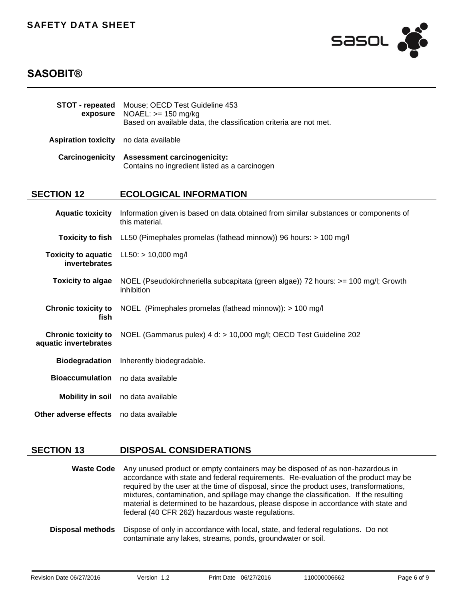

# **SASOBIT®**

| STOT - repeated<br>exposure                         | Mouse; OECD Test Guideline 453<br>$NOAEL: >= 150 mg/kg$<br>Based on available data, the classification criteria are not met. |
|-----------------------------------------------------|------------------------------------------------------------------------------------------------------------------------------|
| <b>Aspiration toxicity</b>                          | no data available                                                                                                            |
| Carcinogenicity                                     | <b>Assessment carcinogenicity:</b><br>Contains no ingredient listed as a carcinogen                                          |
| <b>SECTION 12</b>                                   | <b>ECOLOGICAL INFORMATION</b>                                                                                                |
| <b>Aquatic toxicity</b>                             | Information given is based on data obtained from similar substances or components of<br>this material.                       |
| <b>Toxicity to fish</b>                             | LL50 (Pimephales promelas (fathead minnow)) 96 hours: > 100 mg/l                                                             |
| <b>Toxicity to aquatic</b><br>invertebrates         | $LL50:$ > 10,000 mg/l                                                                                                        |
| <b>Toxicity to algae</b>                            | NOEL (Pseudokirchneriella subcapitata (green algae)) 72 hours: >= 100 mg/l; Growth<br>inhibition                             |
| <b>Chronic toxicity to</b><br>fish                  | NOEL (Pimephales promelas (fathead minnow)): > 100 mg/l                                                                      |
| <b>Chronic toxicity to</b><br>aquatic invertebrates | NOEL (Gammarus pulex) 4 d: > 10,000 mg/l; OECD Test Guideline 202                                                            |
| <b>Biodegradation</b>                               | Inherently biodegradable.                                                                                                    |
| <b>Bioaccumulation</b>                              | no data available                                                                                                            |
| <b>Mobility in soil</b>                             | no data available                                                                                                            |
| Other adverse effects                               | no data available                                                                                                            |

## **SECTION 13 DISPOSAL CONSIDERATIONS**

**Waste Code** Any unused product or empty containers may be disposed of as non-hazardous in accordance with state and federal requirements.Re-evaluation of the product may be required by the user at the time of disposal, since the product uses, transformations, mixtures, contamination, and spillage may change the classification.If the resulting material is determined to be hazardous, please dispose in accordance with state and federal (40 CFR 262) hazardous waste regulations.

**Disposal methods** Dispose of only in accordance with local, state, and federal regulations.Do not contaminate any lakes, streams, ponds, groundwater or soil.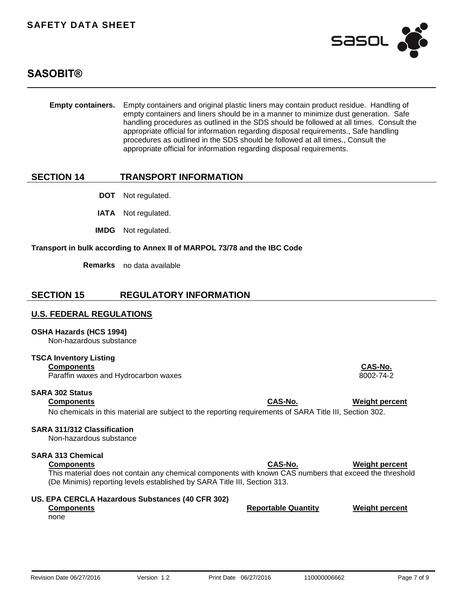

# **SASOBIT®**

| <b>Empty containers.</b>                                                                   | Empty containers and original plastic liners may contain product residue. Handling of<br>empty containers and liners should be in a manner to minimize dust generation. Safe<br>handling procedures as outlined in the SDS should be followed at all times. Consult the<br>appropriate official for information regarding disposal requirements., Safe handling<br>procedures as outlined in the SDS should be followed at all times., Consult the<br>appropriate official for information regarding disposal requirements. |                            |                       |
|--------------------------------------------------------------------------------------------|-----------------------------------------------------------------------------------------------------------------------------------------------------------------------------------------------------------------------------------------------------------------------------------------------------------------------------------------------------------------------------------------------------------------------------------------------------------------------------------------------------------------------------|----------------------------|-----------------------|
| <b>SECTION 14</b>                                                                          | <b>TRANSPORT INFORMATION</b>                                                                                                                                                                                                                                                                                                                                                                                                                                                                                                |                            |                       |
| <b>DOT</b>                                                                                 | Not regulated.                                                                                                                                                                                                                                                                                                                                                                                                                                                                                                              |                            |                       |
| <b>IATA</b>                                                                                | Not regulated.                                                                                                                                                                                                                                                                                                                                                                                                                                                                                                              |                            |                       |
| <b>IMDG</b>                                                                                | Not regulated.                                                                                                                                                                                                                                                                                                                                                                                                                                                                                                              |                            |                       |
|                                                                                            | Transport in bulk according to Annex II of MARPOL 73/78 and the IBC Code                                                                                                                                                                                                                                                                                                                                                                                                                                                    |                            |                       |
| <b>Remarks</b>                                                                             | no data available                                                                                                                                                                                                                                                                                                                                                                                                                                                                                                           |                            |                       |
| <b>SECTION 15</b>                                                                          | <b>REGULATORY INFORMATION</b>                                                                                                                                                                                                                                                                                                                                                                                                                                                                                               |                            |                       |
| <u>U.S. FEDERAL REGULATIONS</u>                                                            |                                                                                                                                                                                                                                                                                                                                                                                                                                                                                                                             |                            |                       |
| OSHA Hazards (HCS 1994)<br>Non-hazardous substance                                         |                                                                                                                                                                                                                                                                                                                                                                                                                                                                                                                             |                            |                       |
| <b>TSCA Inventory Listing</b><br><b>Components</b><br>Paraffin waxes and Hydrocarbon waxes |                                                                                                                                                                                                                                                                                                                                                                                                                                                                                                                             |                            | CAS-No.<br>8002-74-2  |
| <b>SARA 302 Status</b><br><b>Components</b>                                                | No chemicals in this material are subject to the reporting requirements of SARA Title III, Section 302.                                                                                                                                                                                                                                                                                                                                                                                                                     | CAS-No.                    | <b>Weight percent</b> |
| <b>SARA 311/312 Classification</b><br>Non-hazardous substance                              |                                                                                                                                                                                                                                                                                                                                                                                                                                                                                                                             |                            |                       |
| <b>SARA 313 Chemical</b><br><b>Components</b>                                              | This material does not contain any chemical components with known CAS numbers that exceed the threshold<br>(De Minimis) reporting levels established by SARA Title III, Section 313.                                                                                                                                                                                                                                                                                                                                        | CAS-No.                    | <b>Weight percent</b> |
| <b>Components</b><br>none                                                                  | US. EPA CERCLA Hazardous Substances (40 CFR 302)                                                                                                                                                                                                                                                                                                                                                                                                                                                                            | <b>Reportable Quantity</b> | <b>Weight percent</b> |
|                                                                                            |                                                                                                                                                                                                                                                                                                                                                                                                                                                                                                                             |                            |                       |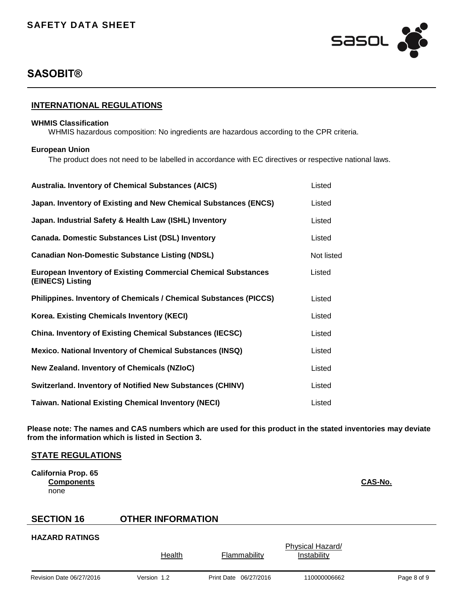

## **INTERNATIONAL REGULATIONS**

#### **WHMIS Classification**

WHMIS hazardous composition: No ingredients are hazardous according to the CPR criteria.

#### **European Union**

The product does not need to be labelled in accordance with EC directives or respective national laws.

| <b>Australia. Inventory of Chemical Substances (AICS)</b>                                | Listed     |
|------------------------------------------------------------------------------------------|------------|
| Japan. Inventory of Existing and New Chemical Substances (ENCS)                          | Listed     |
| Japan. Industrial Safety & Health Law (ISHL) Inventory                                   | Listed     |
| <b>Canada. Domestic Substances List (DSL) Inventory</b>                                  | Listed     |
| <b>Canadian Non-Domestic Substance Listing (NDSL)</b>                                    | Not listed |
| <b>European Inventory of Existing Commercial Chemical Substances</b><br>(EINECS) Listing | Listed     |
| Philippines. Inventory of Chemicals / Chemical Substances (PICCS)                        | Listed     |
| <b>Korea. Existing Chemicals Inventory (KECI)</b>                                        | Listed     |
| <b>China. Inventory of Existing Chemical Substances (IECSC)</b>                          | Listed     |
| <b>Mexico. National Inventory of Chemical Substances (INSQ)</b>                          | Listed     |
| New Zealand. Inventory of Chemicals (NZIoC)                                              | Listed     |
| <b>Switzerland. Inventory of Notified New Substances (CHINV)</b>                         | Listed     |
| <b>Taiwan. National Existing Chemical Inventory (NECI)</b>                               | Listed     |

**Please note: The names and CAS numbers which are used for this product in the stated inventories may deviate from the information which is listed in Section 3.**

## **STATE REGULATIONS**

**California Prop. 65 Components CAS-No.** none

# **SECTION 16 OTHER INFORMATION**

#### **HAZARD RATINGS**

Revision Date 06/27/2016 Version 1.2 Print Date 06/27/2016 110000006662 Page 8 of 9 Health Flammability Physical Hazard/ Instability